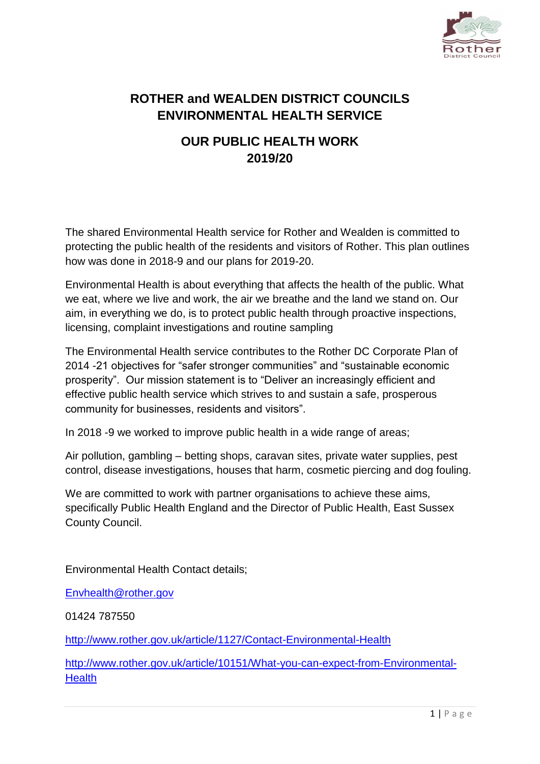

# **ROTHER and WEALDEN DISTRICT COUNCILS ENVIRONMENTAL HEALTH SERVICE**

## **OUR PUBLIC HEALTH WORK 2019/20**

The shared Environmental Health service for Rother and Wealden is committed to protecting the public health of the residents and visitors of Rother. This plan outlines how was done in 2018-9 and our plans for 2019-20.

Environmental Health is about everything that affects the health of the public. What we eat, where we live and work, the air we breathe and the land we stand on. Our aim, in everything we do, is to protect public health through proactive inspections, licensing, complaint investigations and routine sampling

The Environmental Health service contributes to the Rother DC Corporate Plan of 2014 -21 objectives for "safer stronger communities" and "sustainable economic prosperity". Our mission statement is to "Deliver an increasingly efficient and effective public health service which strives to and sustain a safe, prosperous community for businesses, residents and visitors".

In 2018 -9 we worked to improve public health in a wide range of areas;

Air pollution, gambling – betting shops, caravan sites, private water supplies, pest control, disease investigations, houses that harm, cosmetic piercing and dog fouling.

We are committed to work with partner organisations to achieve these aims, specifically Public Health England and the Director of Public Health, East Sussex County Council.

Environmental Health Contact details;

[Envhealth@rother.gov](mailto:Envhealth@rother.gov)

01424 787550

<http://www.rother.gov.uk/article/1127/Contact-Environmental-Health>

[http://www.rother.gov.uk/article/10151/What-you-can-expect-from-Environmental-](http://www.rother.gov.uk/article/10151/What-you-can-expect-from-Environmental-Health)**[Health](http://www.rother.gov.uk/article/10151/What-you-can-expect-from-Environmental-Health)**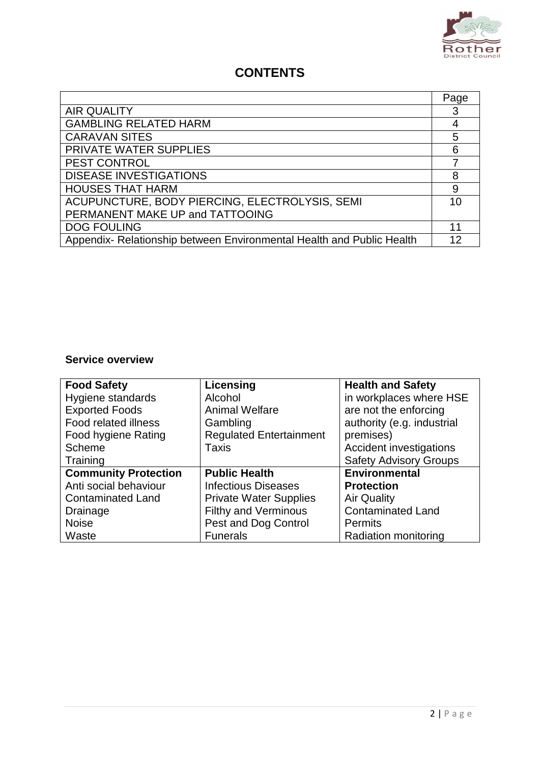

## **CONTENTS**

|                                                                       | Page |
|-----------------------------------------------------------------------|------|
| <b>AIR QUALITY</b>                                                    |      |
| <b>GAMBLING RELATED HARM</b>                                          | 4    |
| <b>CARAVAN SITES</b>                                                  | 5    |
| PRIVATE WATER SUPPLIES                                                | 6    |
| <b>PEST CONTROL</b>                                                   |      |
| <b>DISEASE INVESTIGATIONS</b>                                         | 8    |
| <b>HOUSES THAT HARM</b>                                               | 9    |
| ACUPUNCTURE, BODY PIERCING, ELECTROLYSIS, SEMI                        | 10   |
| PERMANENT MAKE UP and TATTOOING                                       |      |
| <b>DOG FOULING</b>                                                    | 11   |
| Appendix- Relationship between Environmental Health and Public Health | 12   |

#### **Service overview**

| <b>Food Safety</b>          | Licensing                      | <b>Health and Safety</b>      |
|-----------------------------|--------------------------------|-------------------------------|
| Hygiene standards           | Alcohol                        | in workplaces where HSE       |
| <b>Exported Foods</b>       | <b>Animal Welfare</b>          | are not the enforcing         |
| Food related illness        | Gambling                       | authority (e.g. industrial    |
| Food hygiene Rating         | <b>Regulated Entertainment</b> | premises)                     |
| Scheme                      | Taxis                          | Accident investigations       |
| Training                    |                                | <b>Safety Advisory Groups</b> |
| <b>Community Protection</b> | <b>Public Health</b>           | <b>Environmental</b>          |
| Anti social behaviour       | <b>Infectious Diseases</b>     | <b>Protection</b>             |
| <b>Contaminated Land</b>    | <b>Private Water Supplies</b>  | <b>Air Quality</b>            |
| Drainage                    | <b>Filthy and Verminous</b>    | <b>Contaminated Land</b>      |
| <b>Noise</b>                | Pest and Dog Control           | <b>Permits</b>                |
| Waste                       | <b>Funerals</b>                | Radiation monitoring          |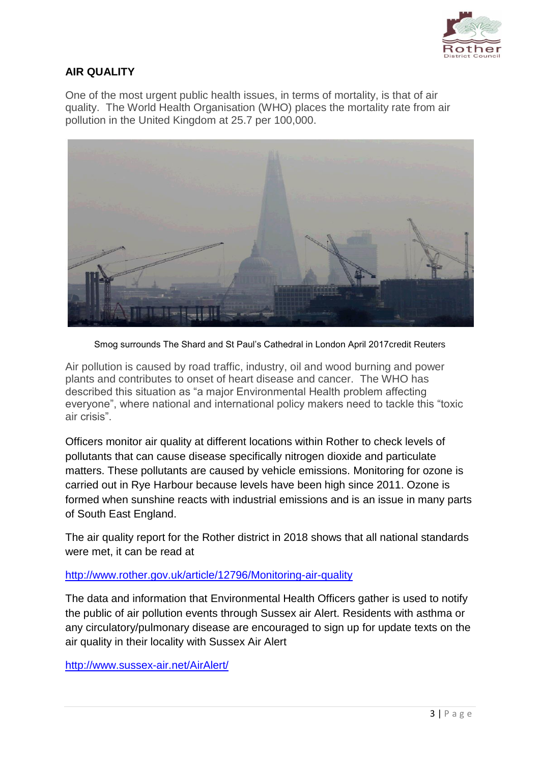

### **AIR QUALITY**

One of the most urgent public health issues, in terms of mortality, is that of air quality. The World Health Organisation (WHO) places the mortality rate from air pollution in the United Kingdom at 25.7 per 100,000.



Smog surrounds The Shard and St Paul's Cathedral in London April 2017credit Reuters

Air pollution is caused by road traffic, industry, oil and wood burning and power plants and contributes to onset of heart disease and cancer. The WHO has described this situation as "a major Environmental Health problem affecting everyone", where national and international policy makers need to tackle this "toxic air crisis".

Officers monitor air quality at different locations within Rother to check levels of pollutants that can cause disease specifically nitrogen dioxide and particulate matters. These pollutants are caused by vehicle emissions. Monitoring for ozone is carried out in Rye Harbour because levels have been high since 2011. Ozone is formed when sunshine reacts with industrial emissions and is an issue in many parts of South East England.

The air quality report for the Rother district in 2018 shows that all national standards were met, it can be read at

<http://www.rother.gov.uk/article/12796/Monitoring-air-quality>

The data and information that Environmental Health Officers gather is used to notify the public of air pollution events through Sussex air Alert. Residents with asthma or any circulatory/pulmonary disease are encouraged to sign up for update texts on the air quality in their locality with Sussex Air Alert

<http://www.sussex-air.net/AirAlert/>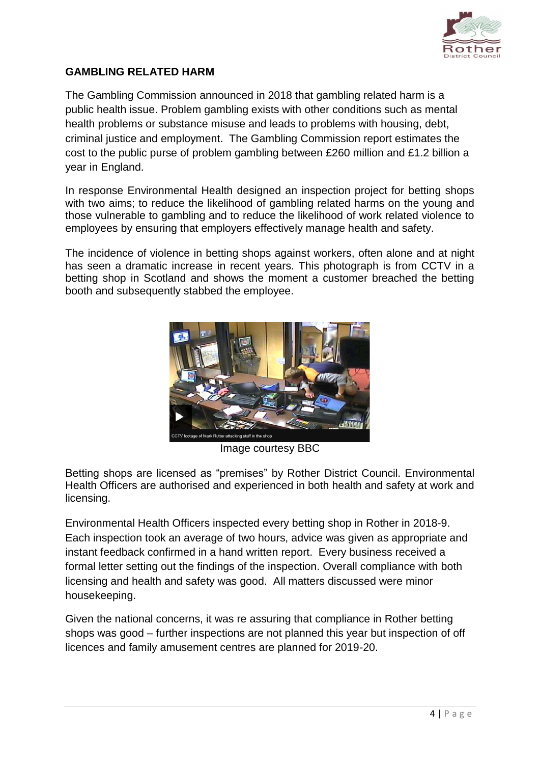

#### **GAMBLING RELATED HARM**

The Gambling Commission announced in 2018 that gambling related harm is a public health issue. Problem gambling exists with other conditions such as mental health problems or substance misuse and leads to problems with housing, debt, criminal justice and employment. The Gambling Commission report estimates the cost to the public purse of problem gambling between £260 million and £1.2 billion a year in England.

In response Environmental Health designed an inspection project for betting shops with two aims; to reduce the likelihood of gambling related harms on the young and those vulnerable to gambling and to reduce the likelihood of work related violence to employees by ensuring that employers effectively manage health and safety.

The incidence of violence in betting shops against workers, often alone and at night has seen a dramatic increase in recent years. This photograph is from CCTV in a betting shop in Scotland and shows the moment a customer breached the betting booth and subsequently stabbed the employee.



Image courtesy BBC

Betting shops are licensed as "premises" by Rother District Council. Environmental Health Officers are authorised and experienced in both health and safety at work and licensing.

Environmental Health Officers inspected every betting shop in Rother in 2018-9. Each inspection took an average of two hours, advice was given as appropriate and instant feedback confirmed in a hand written report. Every business received a formal letter setting out the findings of the inspection. Overall compliance with both licensing and health and safety was good. All matters discussed were minor housekeeping.

Given the national concerns, it was re assuring that compliance in Rother betting shops was good – further inspections are not planned this year but inspection of off licences and family amusement centres are planned for 2019-20.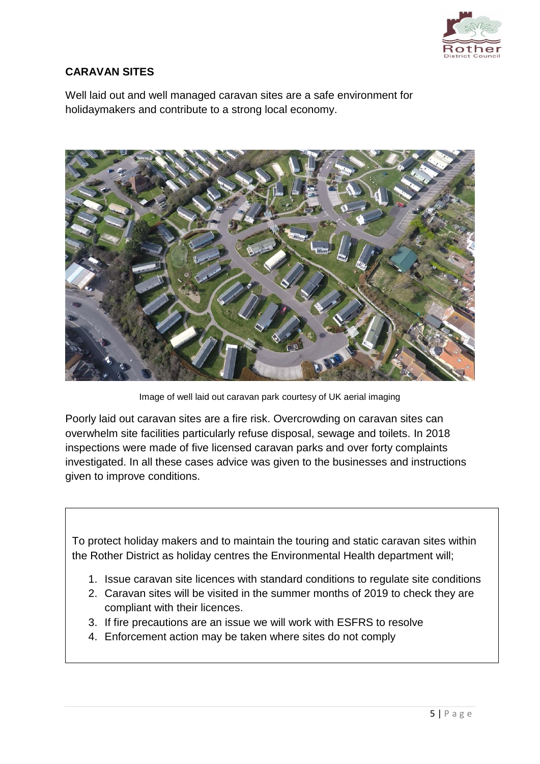

### **CARAVAN SITES**

Well laid out and well managed caravan sites are a safe environment for holidaymakers and contribute to a strong local economy.



Image of well laid out caravan park courtesy of UK aerial imaging

Poorly laid out caravan sites are a fire risk. Overcrowding on caravan sites can overwhelm site facilities particularly refuse disposal, sewage and toilets. In 2018 inspections were made of five licensed caravan parks and over forty complaints investigated. In all these cases advice was given to the businesses and instructions given to improve conditions.

To protect holiday makers and to maintain the touring and static caravan sites within the Rother District as holiday centres the Environmental Health department will;

- 1. Issue caravan site licences with standard conditions to regulate site conditions
- 2. Caravan sites will be visited in the summer months of 2019 to check they are compliant with their licences.
- 3. If fire precautions are an issue we will work with ESFRS to resolve
- 4. Enforcement action may be taken where sites do not comply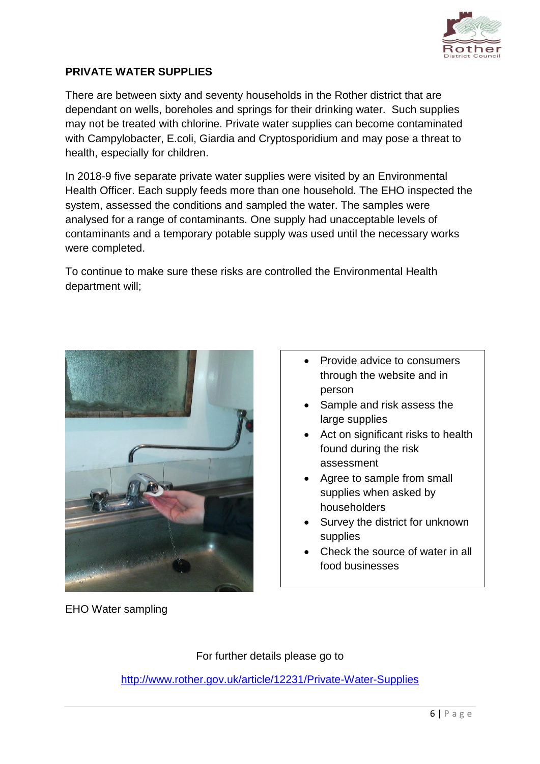

#### **PRIVATE WATER SUPPLIES**

There are between sixty and seventy households in the Rother district that are dependant on wells, boreholes and springs for their drinking water. Such supplies may not be treated with chlorine. Private water supplies can become contaminated with Campylobacter, E.coli, Giardia and Cryptosporidium and may pose a threat to health, especially for children.

In 2018-9 five separate private water supplies were visited by an Environmental Health Officer. Each supply feeds more than one household. The EHO inspected the system, assessed the conditions and sampled the water. The samples were analysed for a range of contaminants. One supply had unacceptable levels of contaminants and a temporary potable supply was used until the necessary works were completed.

To continue to make sure these risks are controlled the Environmental Health department will;



EHO Water sampling

- Provide advice to consumers through the website and in person
- Sample and risk assess the large supplies
- Act on significant risks to health found during the risk assessment
- Agree to sample from small supplies when asked by householders
- Survey the district for unknown supplies
- Check the source of water in all food businesses

For further details please go to

<http://www.rother.gov.uk/article/12231/Private-Water-Supplies>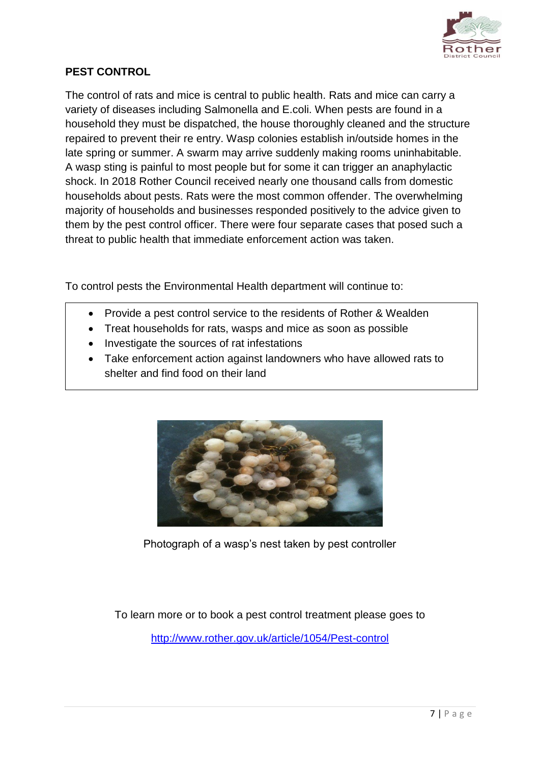

#### **PEST CONTROL**

The control of rats and mice is central to public health. Rats and mice can carry a variety of diseases including Salmonella and E.coli. When pests are found in a household they must be dispatched, the house thoroughly cleaned and the structure repaired to prevent their re entry. Wasp colonies establish in/outside homes in the late spring or summer. A swarm may arrive suddenly making rooms uninhabitable. A wasp sting is painful to most people but for some it can trigger an anaphylactic shock. In 2018 Rother Council received nearly one thousand calls from domestic households about pests. Rats were the most common offender. The overwhelming majority of households and businesses responded positively to the advice given to them by the pest control officer. There were four separate cases that posed such a threat to public health that immediate enforcement action was taken.

To control pests the Environmental Health department will continue to:

- Provide a pest control service to the residents of Rother & Wealden
- Treat households for rats, wasps and mice as soon as possible
- Investigate the sources of rat infestations
- Take enforcement action against landowners who have allowed rats to shelter and find food on their land



Photograph of a wasp's nest taken by pest controller

To learn more or to book a pest control treatment please goes to <http://www.rother.gov.uk/article/1054/Pest-control>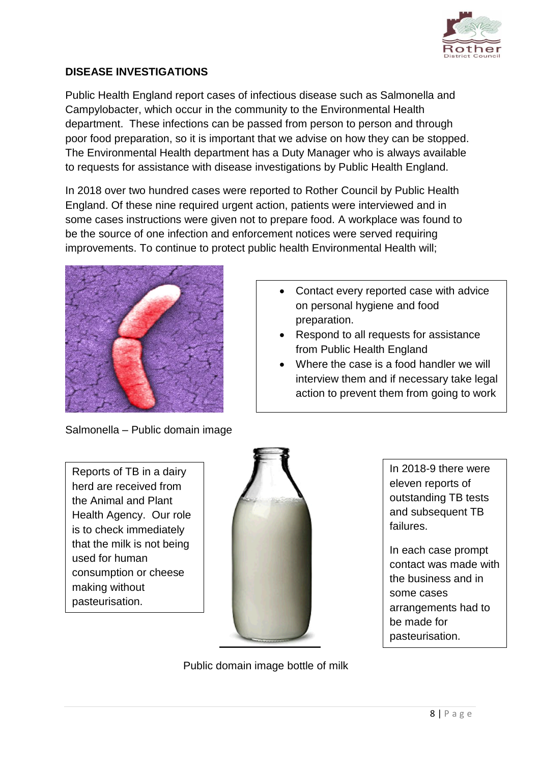

#### **DISEASE INVESTIGATIONS**

Public Health England report cases of infectious disease such as Salmonella and Campylobacter, which occur in the community to the Environmental Health department. These infections can be passed from person to person and through poor food preparation, so it is important that we advise on how they can be stopped. The Environmental Health department has a Duty Manager who is always available to requests for assistance with disease investigations by Public Health England.

In 2018 over two hundred cases were reported to Rother Council by Public Health England. Of these nine required urgent action, patients were interviewed and in some cases instructions were given not to prepare food. A workplace was found to be the source of one infection and enforcement notices were served requiring improvements. To continue to protect public health Environmental Health will;



- Contact every reported case with advice on personal hygiene and food preparation.
- Respond to all requests for assistance from Public Health England
- Where the case is a food handler we will interview them and if necessary take legal action to prevent them from going to work

Salmonella – Public domain image

Reports of TB in a dairy herd are received from the Animal and Plant Health Agency. Our role is to check immediately that the milk is not being used for human consumption or cheese making without pasteurisation.



In 2018-9 there were eleven reports of outstanding TB tests and subsequent TB failures.

In each case prompt contact was made with the business and in some cases arrangements had to be made for pasteurisation.

Public domain image bottle of milk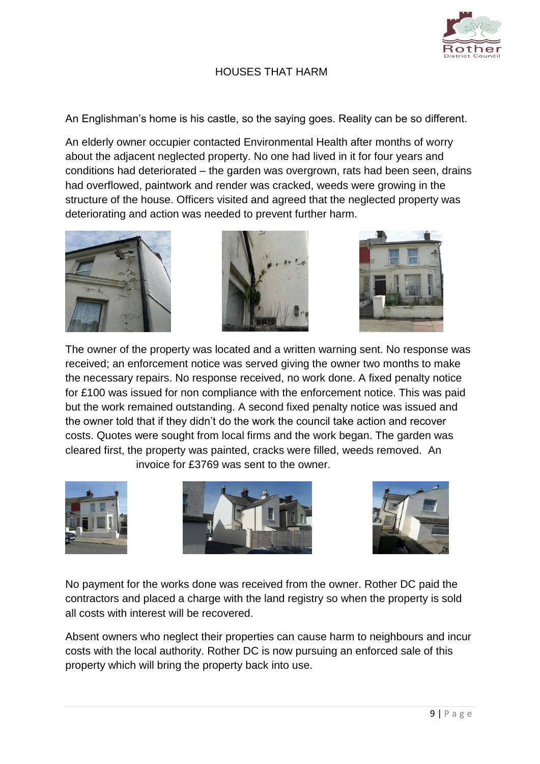

#### HOUSES THAT HARM

An Englishman's home is his castle, so the saying goes. Reality can be so different.

An elderly owner occupier contacted Environmental Health after months of worry about the adjacent neglected property. No one had lived in it for four years and conditions had deteriorated – the garden was overgrown, rats had been seen, drains had overflowed, paintwork and render was cracked, weeds were growing in the structure of the house. Officers visited and agreed that the neglected property was deteriorating and action was needed to prevent further harm.







The owner of the property was located and a written warning sent. No response was received; an enforcement notice was served giving the owner two months to make the necessary repairs. No response received, no work done. A fixed penalty notice for £100 was issued for non compliance with the enforcement notice. This was paid but the work remained outstanding. A second fixed penalty notice was issued and the owner told that if they didn't do the work the council take action and recover costs. Quotes were sought from local firms and the work began. The garden was cleared first, the property was painted, cracks were filled, weeds removed. An invoice for £3769 was sent to the owner.







No payment for the works done was received from the owner. Rother DC paid the contractors and placed a charge with the land registry so when the property is sold all costs with interest will be recovered.

Absent owners who neglect their properties can cause harm to neighbours and incur costs with the local authority. Rother DC is now pursuing an enforced sale of this property which will bring the property back into use.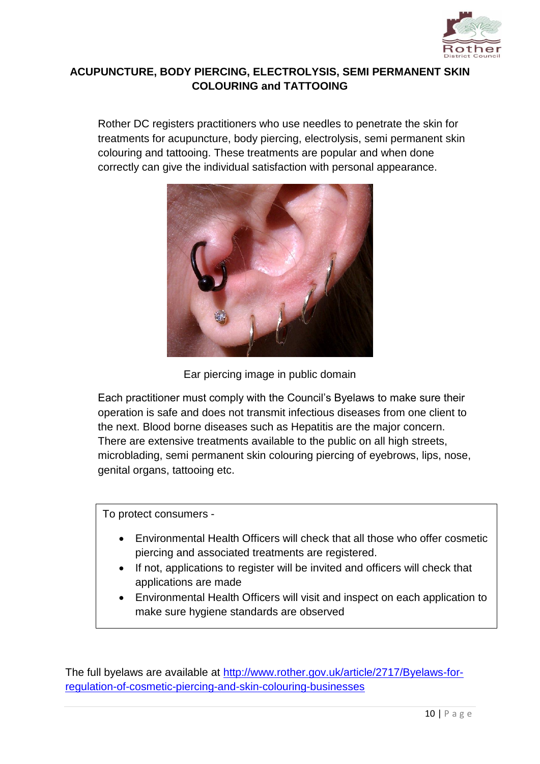

#### **ACUPUNCTURE, BODY PIERCING, ELECTROLYSIS, SEMI PERMANENT SKIN COLOURING and TATTOOING**

Rother DC registers practitioners who use needles to penetrate the skin for treatments for acupuncture, body piercing, electrolysis, semi permanent skin colouring and tattooing. These treatments are popular and when done correctly can give the individual satisfaction with personal appearance.





Each practitioner must comply with the Council's Byelaws to make sure their operation is safe and does not transmit infectious diseases from one client to the next. Blood borne diseases such as Hepatitis are the major concern. There are extensive treatments available to the public on all high streets, microblading, semi permanent skin colouring piercing of eyebrows, lips, nose, genital organs, tattooing etc.

To protect consumers -

- Environmental Health Officers will check that all those who offer cosmetic piercing and associated treatments are registered.
- If not, applications to register will be invited and officers will check that applications are made
- Environmental Health Officers will visit and inspect on each application to make sure hygiene standards are observed

The full byelaws are available at [http://www.rother.gov.uk/article/2717/Byelaws-for](http://www.rother.gov.uk/article/2717/Byelaws-for-regulation-of-cosmetic-piercing-and-skin-colouring-businesses)[regulation-of-cosmetic-piercing-and-skin-colouring-businesses](http://www.rother.gov.uk/article/2717/Byelaws-for-regulation-of-cosmetic-piercing-and-skin-colouring-businesses)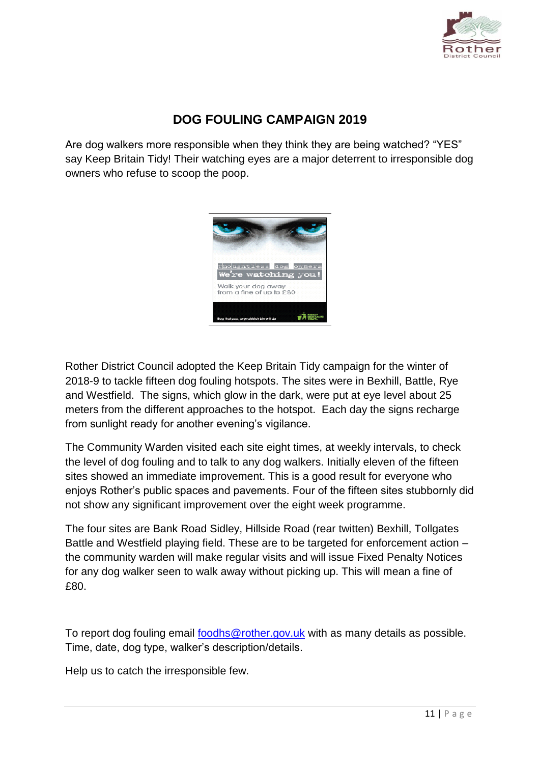

### **DOG FOULING CAMPAIGN 2019**

Are dog walkers more responsible when they think they are being watched? "YES" say Keep Britain Tidy! Their watching eyes are a major deterrent to irresponsible dog owners who refuse to scoop the poop.



Rother District Council adopted the Keep Britain Tidy campaign for the winter of 2018-9 to tackle fifteen dog fouling hotspots. The sites were in Bexhill, Battle, Rye and Westfield. The signs, which glow in the dark, were put at eye level about 25 meters from the different approaches to the hotspot. Each day the signs recharge from sunlight ready for another evening's vigilance.

The Community Warden visited each site eight times, at weekly intervals, to check the level of dog fouling and to talk to any dog walkers. Initially eleven of the fifteen sites showed an immediate improvement. This is a good result for everyone who enjoys Rother's public spaces and pavements. Four of the fifteen sites stubbornly did not show any significant improvement over the eight week programme.

The four sites are Bank Road Sidley, Hillside Road (rear twitten) Bexhill, Tollgates Battle and Westfield playing field. These are to be targeted for enforcement action – the community warden will make regular visits and will issue Fixed Penalty Notices for any dog walker seen to walk away without picking up. This will mean a fine of £80.

To report dog fouling email [foodhs@rother.gov.uk](mailto:foodhs@rother.gov.uk) with as many details as possible. Time, date, dog type, walker's description/details.

Help us to catch the irresponsible few.